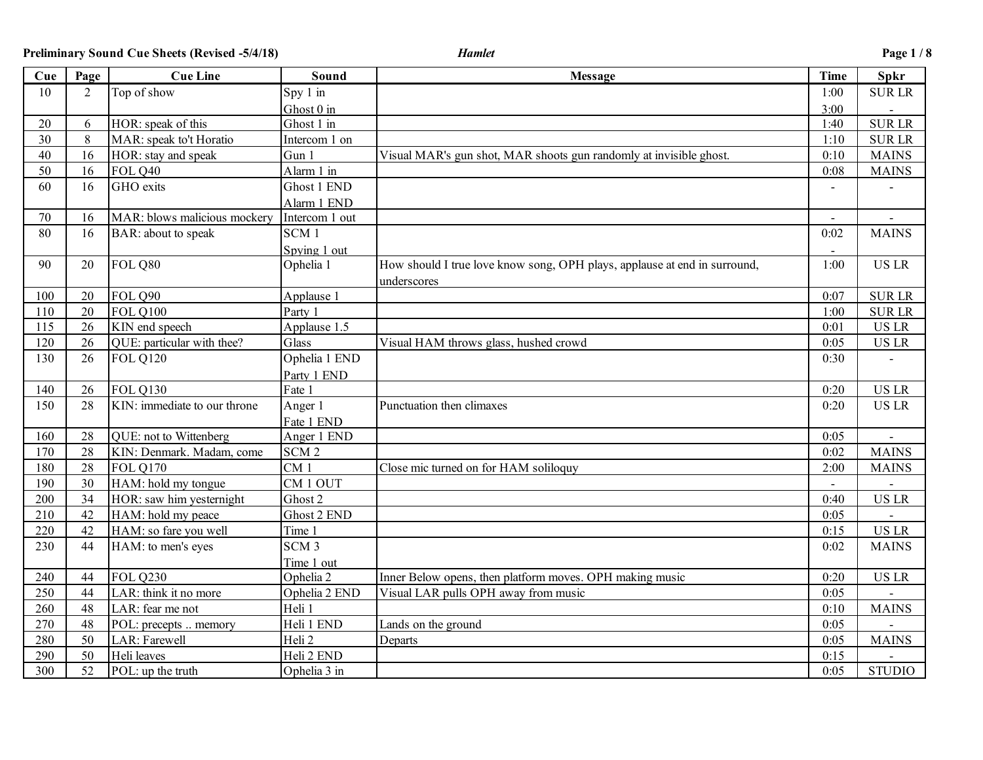| Cue | Page | <b>Cue Line</b>              | Sound            | <b>Message</b>                                                            | <b>Time</b>    | <b>Spkr</b>   |
|-----|------|------------------------------|------------------|---------------------------------------------------------------------------|----------------|---------------|
| 10  | 2    | Top of show                  | Spy 1 in         |                                                                           | 1:00           | <b>SURLR</b>  |
|     |      |                              | Ghost 0 in       |                                                                           | 3:00           |               |
| 20  | 6    | HOR: speak of this           | Ghost 1 in       |                                                                           | 1:40           | <b>SURLR</b>  |
| 30  | 8    | MAR: speak to't Horatio      | Intercom 1 on    |                                                                           | 1:10           | <b>SURLR</b>  |
| 40  | 16   | HOR: stay and speak          | Gun 1            | Visual MAR's gun shot, MAR shoots gun randomly at invisible ghost.        | 0:10           | <b>MAINS</b>  |
| 50  | 16   | FOL Q40                      | Alarm 1 in       |                                                                           | 0:08           | <b>MAINS</b>  |
| 60  | 16   | GHO exits                    | Ghost 1 END      |                                                                           |                |               |
|     |      |                              | Alarm 1 END      |                                                                           |                |               |
| 70  | 16   | MAR: blows malicious mockery | Intercom 1 out   |                                                                           | $\blacksquare$ |               |
| 80  | 16   | BAR: about to speak          | SCM <sub>1</sub> |                                                                           | 0:02           | <b>MAINS</b>  |
|     |      |                              | Spving 1 out     |                                                                           |                |               |
| 90  | 20   | FOL Q80                      | Ophelia 1        | How should I true love know song, OPH plays, applause at end in surround, | 1:00           | <b>US LR</b>  |
|     |      |                              |                  | underscores                                                               |                |               |
| 100 | 20   | FOL Q90                      | Applause 1       |                                                                           | 0:07           | <b>SURLR</b>  |
| 110 | 20   | <b>FOL Q100</b>              | Party 1          |                                                                           | 1:00           | <b>SURLR</b>  |
| 115 | 26   | KIN end speech               | Applause 1.5     |                                                                           | 0:01           | <b>US LR</b>  |
| 120 | 26   | QUE: particular with thee?   | Glass            | Visual HAM throws glass, hushed crowd                                     | 0:05           | <b>US LR</b>  |
| 130 | 26   | <b>FOL Q120</b>              | Ophelia 1 END    |                                                                           | 0:30           |               |
|     |      |                              | Party 1 END      |                                                                           |                |               |
| 140 | 26   | <b>FOL Q130</b>              | Fate 1           |                                                                           | 0:20           | <b>USLR</b>   |
| 150 | 28   | KIN: immediate to our throne | Anger 1          | Punctuation then climaxes                                                 | 0:20           | <b>US LR</b>  |
|     |      |                              | Fate 1 END       |                                                                           |                |               |
| 160 | 28   | QUE: not to Wittenberg       | Anger 1 END      |                                                                           | 0:05           |               |
| 170 | 28   | KIN: Denmark. Madam, come    | SCM <sub>2</sub> |                                                                           | 0:02           | <b>MAINS</b>  |
| 180 | 28   | <b>FOL Q170</b>              | CM <sub>1</sub>  | Close mic turned on for HAM soliloguy                                     | 2:00           | <b>MAINS</b>  |
| 190 | 30   | HAM: hold my tongue          | CM 1 OUT         |                                                                           |                |               |
| 200 | 34   | HOR: saw him yesternight     | Ghost 2          |                                                                           | 0:40           | <b>US LR</b>  |
| 210 | 42   | HAM: hold my peace           | Ghost 2 END      |                                                                           | 0:05           |               |
| 220 | 42   | HAM: so fare you well        | Time 1           |                                                                           | 0:15           | <b>US LR</b>  |
| 230 | 44   | HAM: to men's eyes           | SCM <sub>3</sub> |                                                                           | 0:02           | <b>MAINS</b>  |
|     |      |                              | Time 1 out       |                                                                           |                |               |
| 240 | 44   | <b>FOL 0230</b>              | Ophelia 2        | Inner Below opens, then platform moves. OPH making music                  | 0:20           | <b>US LR</b>  |
| 250 | 44   | LAR: think it no more        | Ophelia 2 END    | Visual LAR pulls OPH away from music                                      | 0:05           |               |
| 260 | 48   | LAR: fear me not             | Heli 1           |                                                                           | 0:10           | <b>MAINS</b>  |
| 270 | 48   | POL: precepts  memory        | Heli 1 END       | Lands on the ground                                                       | 0:05           |               |
| 280 | 50   | LAR: Farewell                | Heli 2           | Departs                                                                   | 0:05           | <b>MAINS</b>  |
| 290 | 50   | Heli leaves                  | Heli 2 END       |                                                                           | 0:15           |               |
| 300 | 52   | POL: up the truth            | Ophelia 3 in     |                                                                           | 0:05           | <b>STUDIO</b> |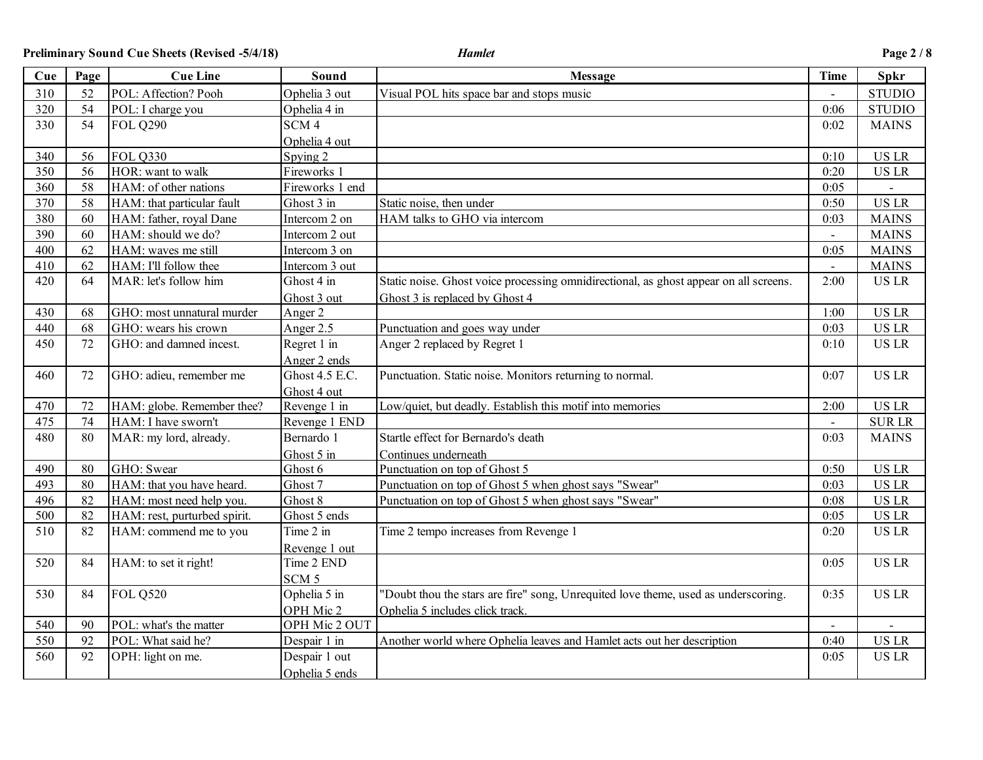| Cue | Page | <b>Cue Line</b>              | Sound                | <b>Message</b>                                                                        | <b>Time</b>              | Spkr          |
|-----|------|------------------------------|----------------------|---------------------------------------------------------------------------------------|--------------------------|---------------|
| 310 | 52   | POL: Affection? Pooh         | Ophelia 3 out        | Visual POL hits space bar and stops music                                             |                          | <b>STUDIO</b> |
| 320 | 54   | POL: I charge you            | Ophelia 4 in         |                                                                                       | 0:06                     | <b>STUDIO</b> |
| 330 | 54   | <b>FOL Q290</b>              | SCM <sub>4</sub>     |                                                                                       | 0:02                     | <b>MAINS</b>  |
|     |      |                              | Ophelia 4 out        |                                                                                       |                          |               |
| 340 | 56   | <b>FOL Q330</b>              | Spying 2             |                                                                                       | 0:10                     | <b>US LR</b>  |
| 350 | 56   | HOR: want to walk            | Fireworks 1          |                                                                                       | 0:20                     | <b>US LR</b>  |
| 360 | 58   | HAM: of other nations        | Fireworks 1 end      |                                                                                       | 0:05                     |               |
| 370 | 58   | HAM: that particular fault   | Ghost 3 in           | Static noise, then under                                                              | 0:50                     | <b>US LR</b>  |
| 380 | 60   | HAM: father, royal Dane      | Intercom 2 on        | HAM talks to GHO via intercom                                                         | 0:03                     | <b>MAINS</b>  |
| 390 | 60   | HAM: should we do?           | Intercom 2 out       |                                                                                       | $\overline{a}$           | <b>MAINS</b>  |
| 400 | 62   | HAM: waves me still          | Intercom 3 on        |                                                                                       | 0:05                     | <b>MAINS</b>  |
| 410 | 62   | HAM: I'll follow thee        | Intercom 3 out       |                                                                                       | $\overline{\phantom{a}}$ | <b>MAINS</b>  |
| 420 | 64   | MAR: let's follow him        | Ghost 4 in           | Static noise. Ghost voice processing omnidirectional, as ghost appear on all screens. | 2:00                     | <b>US LR</b>  |
|     |      |                              | Ghost 3 out          | Ghost 3 is replaced by Ghost 4                                                        |                          |               |
| 430 | 68   | GHO: most unnatural murder   | Anger 2              |                                                                                       | 1:00                     | <b>US LR</b>  |
| 440 | 68   | GHO: wears his crown         | Anger 2.5            | Punctuation and goes way under                                                        | 0:03                     | <b>US LR</b>  |
| 450 | 72   | GHO: and damned incest.      | Regret 1 in          | Anger 2 replaced by Regret 1                                                          | 0:10                     | <b>USLR</b>   |
|     |      |                              | Anger 2 ends         |                                                                                       |                          |               |
| 460 | 72   | GHO: adieu, remember me      | Ghost 4.5 E.C.       | Punctuation. Static noise. Monitors returning to normal.                              | 0:07                     | <b>US LR</b>  |
|     |      |                              | Ghost 4 out          |                                                                                       |                          |               |
| 470 | 72   | HAM: globe. Remember thee?   | Revenge 1 in         | Low/quiet, but deadly. Establish this motif into memories                             | 2:00                     | <b>US LR</b>  |
| 475 | 74   | HAM: I have sworn't          | Revenge 1 END        |                                                                                       | $\blacksquare$           | <b>SURLR</b>  |
| 480 | 80   | MAR: my lord, already.       | Bernardo 1           | Startle effect for Bernardo's death                                                   | 0:03                     | <b>MAINS</b>  |
|     |      |                              | Ghost 5 in           | Continues underneath                                                                  |                          |               |
| 490 | 80   | GHO: Swear                   | Ghost 6              | Punctuation on top of Ghost 5                                                         | 0:50                     | <b>US LR</b>  |
| 493 | 80   | HAM: that you have heard.    | Ghost 7              | Punctuation on top of Ghost 5 when ghost says "Swear"                                 | 0:03                     | <b>US LR</b>  |
| 496 | 82   | HAM: most need help you.     | Ghost $\overline{8}$ | Punctuation on top of Ghost 5 when ghost says "Swear"                                 | 0:08                     | <b>US LR</b>  |
| 500 | 82   | HAM: rest, purturbed spirit. | Ghost 5 ends         |                                                                                       | 0:05                     | <b>US LR</b>  |
| 510 | 82   | HAM: commend me to you       | Time 2 in            | Time 2 tempo increases from Revenge 1                                                 | 0:20                     | <b>US LR</b>  |
|     |      |                              | Revenge 1 out        |                                                                                       |                          |               |
| 520 | 84   | HAM: to set it right!        | Time 2 END           |                                                                                       | 0:05                     | <b>US LR</b>  |
|     |      |                              | SCM <sub>5</sub>     |                                                                                       |                          |               |
| 530 | 84   | <b>FOL Q520</b>              | Ophelia 5 in         | "Doubt thou the stars are fire" song, Unrequited love theme, used as underscoring.    | 0:35                     | <b>US LR</b>  |
|     |      |                              | OPH Mic 2            | Ophelia 5 includes click track.                                                       |                          |               |
| 540 | 90   | POL: what's the matter       | OPH Mic 2 OUT        |                                                                                       |                          |               |
| 550 | 92   | POL: What said he?           | Despair 1 in         | Another world where Ophelia leaves and Hamlet acts out her description                | 0:40                     | <b>US LR</b>  |
| 560 | 92   | OPH: light on me.            | Despair 1 out        |                                                                                       | 0:05                     | <b>USLR</b>   |
|     |      |                              | Ophelia 5 ends       |                                                                                       |                          |               |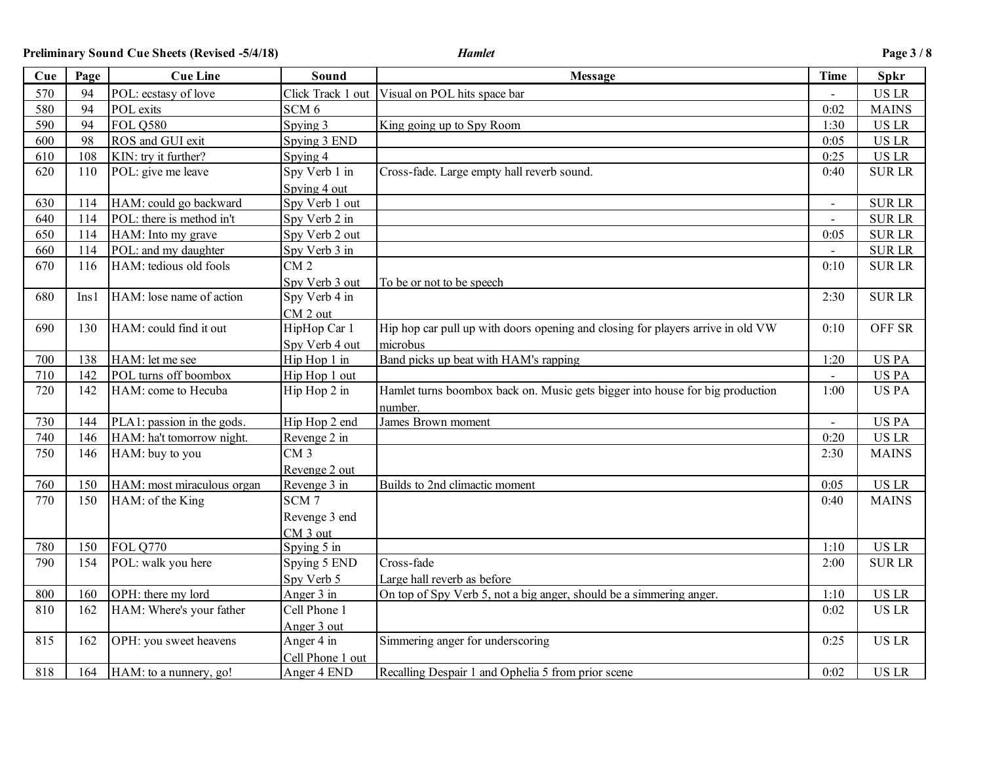| Cue | Page | <b>Cue Line</b>            | Sound             | <b>Message</b>                                                                  | <b>Time</b>    | <b>Spkr</b>   |
|-----|------|----------------------------|-------------------|---------------------------------------------------------------------------------|----------------|---------------|
| 570 | 94   | POL: ecstasy of love       | Click Track 1 out | Visual on POL hits space bar                                                    | $\blacksquare$ | <b>US LR</b>  |
| 580 | 94   | POL exits                  | SCM <sub>6</sub>  |                                                                                 | 0:02           | <b>MAINS</b>  |
| 590 | 94   | <b>FOL 0580</b>            | Spying 3          | King going up to Spy Room                                                       | 1:30           | <b>US LR</b>  |
| 600 | 98   | ROS and GUI exit           | Spying 3 END      |                                                                                 | 0:05           | <b>US LR</b>  |
| 610 | 108  | KIN: try it further?       | Spying 4          |                                                                                 | 0:25           | <b>US LR</b>  |
| 620 | 110  | POL: give me leave         | Spy Verb 1 in     | Cross-fade. Large empty hall reverb sound.                                      | 0:40           | <b>SURLR</b>  |
|     |      |                            | Spying 4 out      |                                                                                 |                |               |
| 630 | 114  | HAM: could go backward     | Spy Verb 1 out    |                                                                                 |                | <b>SURLR</b>  |
| 640 | 114  | POL: there is method in't  | Spy Verb 2 in     |                                                                                 |                | <b>SURLR</b>  |
| 650 | 114  | HAM: Into my grave         | Spy Verb 2 out    |                                                                                 | 0:05           | <b>SURLR</b>  |
| 660 | 114  | POL: and my daughter       | Spy Verb 3 in     |                                                                                 | $\overline{a}$ | <b>SURLR</b>  |
| 670 | 116  | HAM: tedious old fools     | CM <sub>2</sub>   |                                                                                 | 0:10           | <b>SURLR</b>  |
|     |      |                            | Spy Verb 3 out    | To be or not to be speech                                                       |                |               |
| 680 | Ins1 | HAM: lose name of action   | Spy Verb 4 in     |                                                                                 | 2:30           | <b>SURLR</b>  |
|     |      |                            | CM 2 out          |                                                                                 |                |               |
| 690 | 130  | HAM: could find it out     | HipHop Car 1      | Hip hop car pull up with doors opening and closing for players arrive in old VW | 0:10           | <b>OFF SR</b> |
|     |      |                            | Spy Verb 4 out    | microbus                                                                        |                |               |
| 700 | 138  | HAM: let me see            | Hip Hop 1 in      | Band picks up beat with HAM's rapping                                           | 1:20           | <b>USPA</b>   |
| 710 | 142  | POL turns off boombox      | Hip Hop 1 out     |                                                                                 |                | <b>USPA</b>   |
| 720 | 142  | HAM: come to Hecuba        | Hip Hop 2 in      | Hamlet turns boombox back on. Music gets bigger into house for big production   | 1:00           | <b>USPA</b>   |
|     |      |                            |                   | number.                                                                         |                |               |
| 730 | 144  | PLA1: passion in the gods. | Hip Hop 2 end     | James Brown moment                                                              | $\blacksquare$ | <b>USPA</b>   |
| 740 | 146  | HAM: ha't tomorrow night.  | Revenge 2 in      |                                                                                 | 0:20           | <b>USLR</b>   |
| 750 | 146  | HAM: buy to you            | CM <sub>3</sub>   |                                                                                 | 2:30           | <b>MAINS</b>  |
|     |      |                            | Revenge 2 out     |                                                                                 |                |               |
| 760 | 150  | HAM: most miraculous organ | Revenge 3 in      | Builds to 2nd climactic moment                                                  | 0:05           | <b>USLR</b>   |
| 770 | 150  | HAM: of the King           | SCM <sub>7</sub>  |                                                                                 | 0:40           | <b>MAINS</b>  |
|     |      |                            | Revenge 3 end     |                                                                                 |                |               |
|     |      |                            | $CM$ 3 out        |                                                                                 |                |               |
| 780 | 150  | <b>FOL Q770</b>            | Spying 5 in       |                                                                                 | 1:10           | <b>US LR</b>  |
| 790 | 154  | POL: walk you here         | Spying 5 END      | Cross-fade                                                                      | 2:00           | <b>SURLR</b>  |
|     |      |                            | Spy Verb 5        | Large hall reverb as before                                                     |                |               |
| 800 | 160  | OPH: there my lord         | Anger 3 in        | On top of Spy Verb 5, not a big anger, should be a simmering anger.             | 1:10           | <b>USLR</b>   |
| 810 | 162  | HAM: Where's your father   | Cell Phone 1      |                                                                                 | 0:02           | <b>USLR</b>   |
|     |      |                            | Anger 3 out       |                                                                                 |                |               |
| 815 | 162  | OPH: you sweet heavens     | Anger 4 in        | Simmering anger for underscoring                                                | 0:25           | <b>USLR</b>   |
|     |      |                            | Cell Phone 1 out  |                                                                                 |                |               |
| 818 | 164  | HAM: to a nunnery, go!     | Anger 4 END       | Recalling Despair 1 and Ophelia 5 from prior scene                              | 0:02           | <b>USLR</b>   |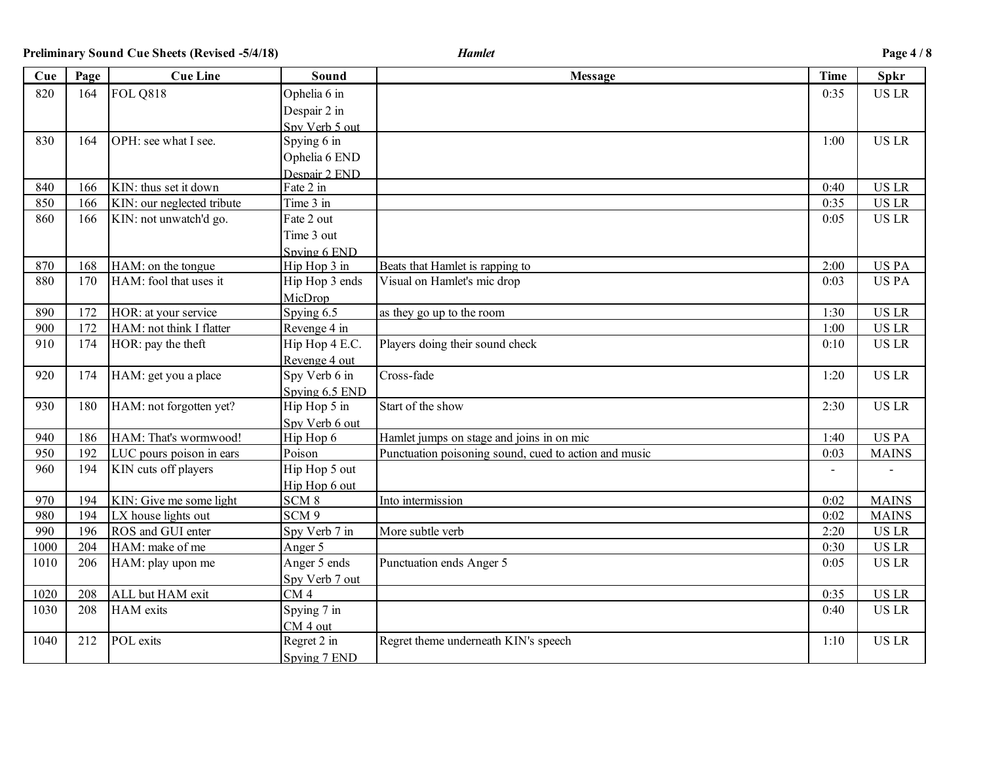| Cue  | Page | <b>Cue Line</b>            | Sound            | <b>Message</b>                                        | <b>Time</b> | Spkr         |
|------|------|----------------------------|------------------|-------------------------------------------------------|-------------|--------------|
| 820  | 164  | <b>FOL Q818</b>            | Ophelia 6 in     |                                                       | 0:35        | <b>US LR</b> |
|      |      |                            | Despair 2 in     |                                                       |             |              |
|      |      |                            | Spy Verb 5 out   |                                                       |             |              |
| 830  | 164  | OPH: see what I see.       | Spying 6 in      |                                                       | 1:00        | <b>US LR</b> |
|      |      |                            | Ophelia 6 END    |                                                       |             |              |
|      |      |                            | Despair 2 END    |                                                       |             |              |
| 840  | 166  | KIN: thus set it down      | Fate 2 in        |                                                       | 0:40        | <b>US LR</b> |
| 850  | 166  | KIN: our neglected tribute | Time 3 in        |                                                       | 0:35        | <b>US LR</b> |
| 860  | 166  | KIN: not unwatch'd go.     | Fate 2 out       |                                                       | 0:05        | <b>US LR</b> |
|      |      |                            | Time 3 out       |                                                       |             |              |
|      |      |                            | Spying 6 END     |                                                       |             |              |
| 870  | 168  | HAM: on the tongue         | Hip Hop 3 in     | Beats that Hamlet is rapping to                       | 2:00        | <b>USPA</b>  |
| 880  | 170  | HAM: fool that uses it     | Hip Hop 3 ends   | Visual on Hamlet's mic drop                           | 0:03        | <b>USPA</b>  |
|      |      |                            | MicDrop          |                                                       |             |              |
| 890  | 172  | HOR: at your service       | Spying $6.5$     | as they go up to the room                             | 1:30        | <b>US LR</b> |
| 900  | 172  | HAM: not think I flatter   | Revenge 4 in     |                                                       | 1:00        | <b>US LR</b> |
| 910  | 174  | HOR: pay the theft         | Hip Hop 4 E.C.   | Players doing their sound check                       | 0:10        | <b>US LR</b> |
|      |      |                            | Revenge 4 out    |                                                       |             |              |
| 920  | 174  | HAM: get you a place       | Spy Verb 6 in    | Cross-fade                                            | 1:20        | <b>US LR</b> |
|      |      |                            | Spying 6.5 END   |                                                       |             |              |
| 930  | 180  | HAM: not forgotten yet?    | Hip Hop 5 in     | Start of the show                                     | 2:30        | <b>US LR</b> |
|      |      |                            | Spy Verb 6 out   |                                                       |             |              |
| 940  | 186  | HAM: That's wormwood!      | Hip Hop 6        | Hamlet jumps on stage and joins in on mic             | 1:40        | <b>USPA</b>  |
| 950  | 192  | LUC pours poison in ears   | Poison           | Punctuation poisoning sound, cued to action and music | 0:03        | <b>MAINS</b> |
| 960  | 194  | KIN cuts off players       | Hip Hop 5 out    |                                                       |             |              |
|      |      |                            | Hip Hop 6 out    |                                                       |             |              |
| 970  | 194  | KIN: Give me some light    | SCM <sub>8</sub> | Into intermission                                     | 0:02        | <b>MAINS</b> |
| 980  | 194  | LX house lights out        | SCM <sub>9</sub> |                                                       | 0:02        | <b>MAINS</b> |
| 990  | 196  | ROS and GUI enter          | Spy Verb 7 in    | More subtle verb                                      | 2:20        | <b>US LR</b> |
| 1000 | 204  | HAM: make of me            | Anger 5          |                                                       | 0:30        | <b>US LR</b> |
| 1010 | 206  | HAM: play upon me          | Anger 5 ends     | Punctuation ends Anger 5                              | 0:05        | <b>US LR</b> |
|      |      |                            | Spy Verb 7 out   |                                                       |             |              |
| 1020 | 208  | ALL but HAM exit           | CM <sub>4</sub>  |                                                       | 0:35        | <b>US LR</b> |
| 1030 | 208  | <b>HAM</b> exits           | Spying 7 in      |                                                       | 0:40        | <b>US LR</b> |
|      |      |                            | CM 4 out         |                                                       |             |              |
| 1040 | 212  | POL exits                  | Regret 2 in      | Regret theme underneath KIN's speech                  | 1:10        | <b>US LR</b> |
|      |      |                            | Spying 7 END     |                                                       |             |              |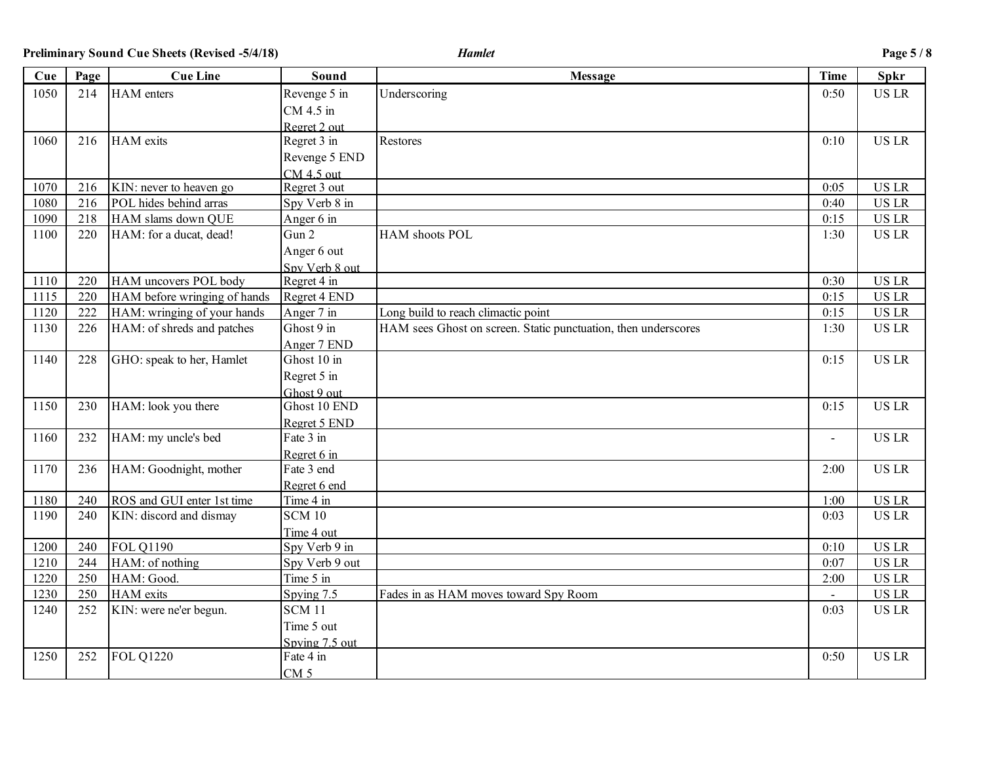| Cue  | Page | <b>Cue Line</b>              | Sound                  | <b>Message</b>                                                 | <b>Time</b>    | <b>Spkr</b>  |
|------|------|------------------------------|------------------------|----------------------------------------------------------------|----------------|--------------|
| 1050 | 214  | <b>HAM</b> enters            | Revenge 5 in           | Underscoring                                                   | 0:50           | <b>US LR</b> |
|      |      |                              | CM 4.5 in              |                                                                |                |              |
|      |      |                              | Regret 2 out           |                                                                |                |              |
| 1060 | 216  | <b>HAM</b> exits             | Regret 3 in            | Restores                                                       | 0:10           | <b>US LR</b> |
|      |      |                              | Revenge 5 END          |                                                                |                |              |
|      |      |                              | $CM 4.5$ out           |                                                                |                |              |
| 1070 | 216  | KIN: never to heaven go      | Regret 3 out           |                                                                | 0:05           | <b>US LR</b> |
| 1080 | 216  | POL hides behind arras       | Spy Verb 8 in          |                                                                | 0:40           | <b>US LR</b> |
| 1090 | 218  | HAM slams down QUE           | Anger 6 in             |                                                                | 0:15           | <b>US LR</b> |
| 1100 | 220  | HAM: for a ducat, dead!      | Gun 2                  | HAM shoots POL                                                 | 1:30           | <b>US LR</b> |
|      |      |                              | Anger 6 out            |                                                                |                |              |
|      |      |                              | Spy Verb 8 out         |                                                                |                |              |
| 1110 | 220  | HAM uncovers POL body        | Regret 4 in            |                                                                | 0:30           | <b>US LR</b> |
| 1115 | 220  | HAM before wringing of hands | Regret 4 END           |                                                                | 0:15           | <b>US LR</b> |
| 1120 | 222  | HAM: wringing of your hands  | Anger 7 in             | Long build to reach climactic point                            | 0:15           | <b>US LR</b> |
| 1130 | 226  | HAM: of shreds and patches   | Ghost 9 in             | HAM sees Ghost on screen. Static punctuation, then underscores | 1:30           | <b>US LR</b> |
|      |      |                              | Anger 7 END            |                                                                |                |              |
| 1140 | 228  | GHO: speak to her, Hamlet    | Ghost 10 in            |                                                                | 0:15           | <b>US LR</b> |
|      |      |                              | Regret 5 in            |                                                                |                |              |
|      |      |                              | Ghost 9 out            |                                                                |                |              |
| 1150 | 230  | HAM: look you there          | Ghost 10 END           |                                                                | 0:15           | <b>US LR</b> |
|      |      |                              | Regret 5 END           |                                                                |                |              |
| 1160 | 232  | HAM: my uncle's bed          | Fate 3 in              |                                                                |                | <b>US LR</b> |
|      |      |                              | Regret 6 in            |                                                                |                |              |
| 1170 | 236  | HAM: Goodnight, mother       | Fate 3 end             |                                                                | 2:00           | <b>US LR</b> |
|      |      |                              | Regret 6 end           |                                                                |                |              |
| 1180 | 240  | ROS and GUI enter 1st time   | Time $4 \overline{in}$ |                                                                | 1:00           | <b>US LR</b> |
| 1190 | 240  | KIN: discord and dismay      | <b>SCM 10</b>          |                                                                | 0:03           | <b>US LR</b> |
|      |      |                              | Time 4 out             |                                                                |                |              |
| 1200 | 240  | <b>FOL Q1190</b>             | Spy Verb 9 in          |                                                                | 0:10           | <b>US LR</b> |
| 1210 | 244  | HAM: of nothing              | Spy Verb 9 out         |                                                                | 0:07           | <b>US LR</b> |
| 1220 | 250  | HAM: Good.                   | Time 5 in              |                                                                | 2:00           | <b>US LR</b> |
| 1230 | 250  | HAM exits                    | Spying 7.5             | Fades in as HAM moves toward Spy Room                          | $\blacksquare$ | <b>US LR</b> |
| 1240 | 252  | KIN: were ne'er begun.       | <b>SCM 11</b>          |                                                                | 0:03           | <b>USLR</b>  |
|      |      |                              | Time 5 out             |                                                                |                |              |
|      |      |                              | Spying 7.5 out         |                                                                |                |              |
| 1250 | 252  | <b>FOL Q1220</b>             | Fate 4 in              |                                                                | 0:50           | <b>USLR</b>  |
|      |      |                              | CM <sub>5</sub>        |                                                                |                |              |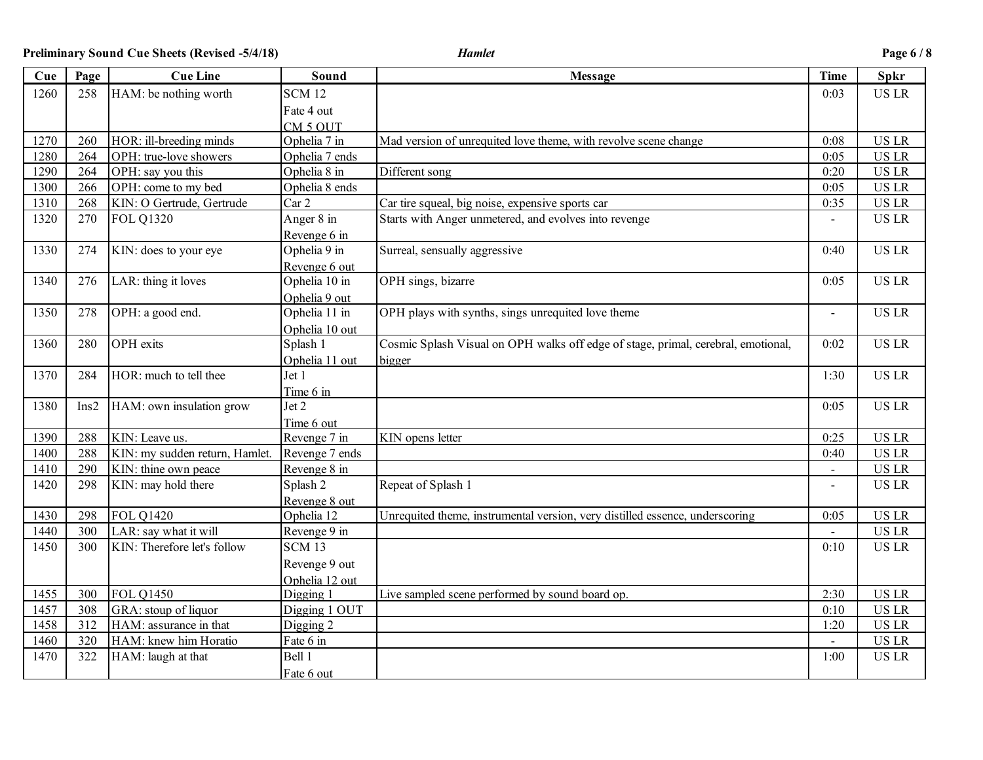**Preliminary Sound Cue Sheets (Revised -5/4/18)** *Hamlet* **Page 6 / 8**

| Cue  | Page | <b>Cue Line</b>                | Sound               | <b>Message</b>                                                                    | <b>Time</b> | <b>Spkr</b>  |
|------|------|--------------------------------|---------------------|-----------------------------------------------------------------------------------|-------------|--------------|
| 1260 | 258  | HAM: be nothing worth          | <b>SCM 12</b>       |                                                                                   | 0:03        | <b>US LR</b> |
|      |      |                                | Fate 4 out          |                                                                                   |             |              |
|      |      |                                | CM <sub>5</sub> OUT |                                                                                   |             |              |
| 1270 | 260  | HOR: ill-breeding minds        | Ophelia 7 in        | Mad version of unrequited love theme, with revolve scene change                   | 0:08        | <b>US LR</b> |
| 1280 | 264  | OPH: true-love showers         | Ophelia 7 ends      |                                                                                   | 0:05        | <b>US LR</b> |
| 1290 | 264  | OPH: say you this              | Ophelia 8 in        | Different song                                                                    | 0:20        | <b>US LR</b> |
| 1300 | 266  | OPH: come to my bed            | Ophelia 8 ends      |                                                                                   | 0:05        | <b>US LR</b> |
| 1310 | 268  | KIN: O Gertrude, Gertrude      | Car 2               | Car tire squeal, big noise, expensive sports car                                  | 0:35        | <b>US LR</b> |
| 1320 | 270  | <b>FOL Q1320</b>               | Anger 8 in          | Starts with Anger unmetered, and evolves into revenge                             |             | <b>US LR</b> |
|      |      |                                | Revenge 6 in        |                                                                                   |             |              |
| 1330 | 274  | KIN: does to your eye          | Ophelia 9 in        | Surreal, sensually aggressive                                                     | 0:40        | <b>US LR</b> |
|      |      |                                | Revenge 6 out       |                                                                                   |             |              |
| 1340 | 276  | LAR: thing it loves            | Ophelia 10 in       | OPH sings, bizarre                                                                | 0:05        | <b>US LR</b> |
|      |      |                                | Ophelia 9 out       |                                                                                   |             |              |
| 1350 | 278  | OPH: a good end.               | Ophelia 11 in       | OPH plays with synths, sings unrequited love theme                                |             | <b>US LR</b> |
|      |      |                                | Ophelia 10 out      |                                                                                   |             |              |
| 1360 | 280  | OPH exits                      | Splash 1            | Cosmic Splash Visual on OPH walks off edge of stage, primal, cerebral, emotional, | 0:02        | <b>US LR</b> |
|      |      |                                | Ophelia 11 out      | bigger                                                                            |             |              |
| 1370 | 284  | HOR: much to tell thee         | Jet 1               |                                                                                   | 1:30        | <b>US LR</b> |
|      |      |                                | Time 6 in           |                                                                                   |             |              |
| 1380 | Ins2 | HAM: own insulation grow       | Jet 2               |                                                                                   | 0:05        | <b>US LR</b> |
|      |      |                                | Time 6 out          |                                                                                   |             |              |
| 1390 | 288  | KIN: Leave us.                 | Revenge 7 in        | KIN opens letter                                                                  | 0:25        | <b>US LR</b> |
| 1400 | 288  | KIN: my sudden return, Hamlet. | Revenge 7 ends      |                                                                                   | 0:40        | <b>US LR</b> |
| 1410 | 290  | KIN: thine own peace           | Revenge 8 in        |                                                                                   |             | <b>US LR</b> |
| 1420 | 298  | KIN: may hold there            | Splash 2            | Repeat of Splash 1                                                                |             | <b>US LR</b> |
|      |      |                                | Revenge 8 out       |                                                                                   |             |              |
| 1430 | 298  | <b>FOL Q1420</b>               | Ophelia 12          | Unrequited theme, instrumental version, very distilled essence, underscoring      | 0:05        | <b>US LR</b> |
| 1440 | 300  | LAR: say what it will          | Revenge 9 in        |                                                                                   |             | <b>US LR</b> |
| 1450 | 300  | KIN: Therefore let's follow    | <b>SCM 13</b>       |                                                                                   | 0:10        | <b>US LR</b> |
|      |      |                                | Revenge 9 out       |                                                                                   |             |              |
|      |      |                                | Ophelia 12 out      |                                                                                   |             |              |
| 1455 | 300  | <b>FOL Q1450</b>               | Digging 1           | Live sampled scene performed by sound board op.                                   | 2:30        | <b>US LR</b> |
| 1457 | 308  | GRA: stoup of liquor           | Digging 1 OUT       |                                                                                   | 0:10        | <b>US LR</b> |
| 1458 | 312  | HAM: assurance in that         | Digging 2           |                                                                                   | 1:20        | <b>US LR</b> |
| 1460 | 320  | HAM: knew him Horatio          | Fate 6 in           |                                                                                   |             | <b>US LR</b> |
| 1470 | 322  | HAM: laugh at that             | Bell 1              |                                                                                   | 1:00        | <b>USLR</b>  |
|      |      |                                | Fate 6 out          |                                                                                   |             |              |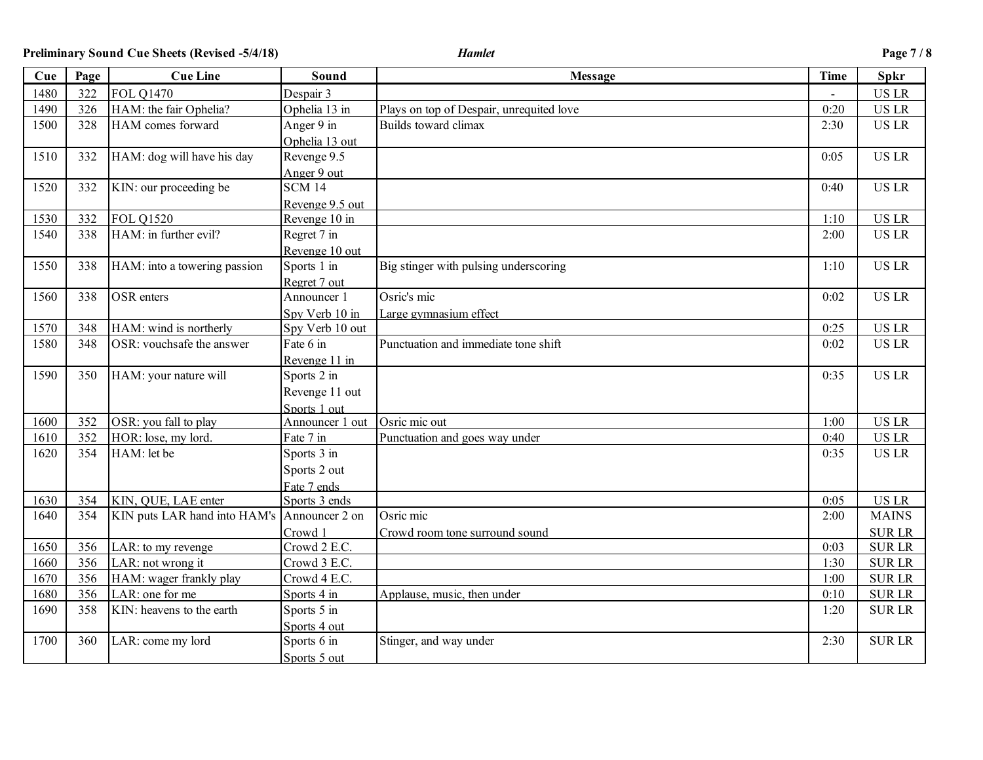**Preliminary Sound Cue Sheets (Revised -5/4/18)** *Hamlet* **Page 7 / 8**

| Cue  | Page | <b>Cue Line</b>              | Sound           | <b>Message</b>                           | <b>Time</b> | Spkr         |
|------|------|------------------------------|-----------------|------------------------------------------|-------------|--------------|
| 1480 | 322  | <b>FOL Q1470</b>             | Despair 3       |                                          |             | <b>US LR</b> |
| 1490 | 326  | HAM: the fair Ophelia?       | Ophelia 13 in   | Plays on top of Despair, unrequited love | 0:20        | <b>US LR</b> |
| 1500 | 328  | HAM comes forward            | Anger 9 in      | Builds toward climax                     | 2:30        | <b>US LR</b> |
|      |      |                              | Ophelia 13 out  |                                          |             |              |
| 1510 | 332  | HAM: dog will have his day   | Revenge 9.5     |                                          | 0:05        | <b>US LR</b> |
|      |      |                              | Anger 9 out     |                                          |             |              |
| 1520 | 332  | KIN: our proceeding be       | <b>SCM 14</b>   |                                          | 0:40        | <b>US LR</b> |
|      |      |                              | Revenge 9.5 out |                                          |             |              |
| 1530 | 332  | <b>FOL 01520</b>             | Revenge 10 in   |                                          | 1:10        | <b>US LR</b> |
| 1540 | 338  | HAM: in further evil?        | Regret 7 in     |                                          | 2:00        | <b>US LR</b> |
|      |      |                              | Revenge 10 out  |                                          |             |              |
| 1550 | 338  | HAM: into a towering passion | Sports 1 in     | Big stinger with pulsing underscoring    | 1:10        | <b>US LR</b> |
|      |      |                              | Regret 7 out    |                                          |             |              |
| 1560 | 338  | OSR enters                   | Announcer 1     | Osric's mic                              | 0:02        | <b>US LR</b> |
|      |      |                              | Spy Verb 10 in  | Large gymnasium effect                   |             |              |
| 1570 | 348  | HAM: wind is northerly       | Spy Verb 10 out |                                          | 0:25        | <b>US LR</b> |
| 1580 | 348  | OSR: vouchsafe the answer    | Fate 6 in       | Punctuation and immediate tone shift     | 0:02        | <b>US LR</b> |
|      |      |                              | Revenge 11 in   |                                          |             |              |
| 1590 | 350  | HAM: your nature will        | Sports 2 in     |                                          | 0:35        | <b>US LR</b> |
|      |      |                              | Revenge 11 out  |                                          |             |              |
|      |      |                              | Sports 1 out    |                                          |             |              |
| 1600 | 352  | OSR: you fall to play        | Announcer 1 out | Osric mic out                            | 1:00        | <b>US LR</b> |
| 1610 | 352  | HOR: lose, my lord.          | Fate 7 in       | Punctuation and goes way under           | 0:40        | <b>US LR</b> |
| 1620 | 354  | HAM: let be                  | Sports 3 in     |                                          | 0:35        | <b>US LR</b> |
|      |      |                              | Sports 2 out    |                                          |             |              |
|      |      |                              | Fate 7 ends     |                                          |             |              |
| 1630 | 354  | KIN, QUE, LAE enter          | Sports 3 ends   |                                          | 0:05        | <b>US LR</b> |
| 1640 | 354  | KIN puts LAR hand into HAM's | Announcer 2 on  | Osric mic                                | 2:00        | <b>MAINS</b> |
|      |      |                              | Crowd 1         | Crowd room tone surround sound           |             | <b>SURLR</b> |
| 1650 | 356  | LAR: to my revenge           | Crowd 2 E.C.    |                                          | 0:03        | <b>SURLR</b> |
| 1660 | 356  | LAR: not wrong it            | Crowd 3 E.C.    |                                          | 1:30        | <b>SURLR</b> |
| 1670 | 356  | HAM: wager frankly play      | Crowd 4 E.C.    |                                          | 1:00        | <b>SURLR</b> |
| 1680 | 356  | LAR: one for me              | Sports 4 in     | Applause, music, then under              | 0:10        | <b>SURLR</b> |
| 1690 | 358  | KIN: heavens to the earth    | Sports 5 in     |                                          | 1:20        | <b>SURLR</b> |
|      |      |                              | Sports 4 out    |                                          |             |              |
| 1700 | 360  | LAR: come my lord            | Sports 6 in     | Stinger, and way under                   | 2:30        | <b>SURLR</b> |
|      |      |                              | Sports 5 out    |                                          |             |              |